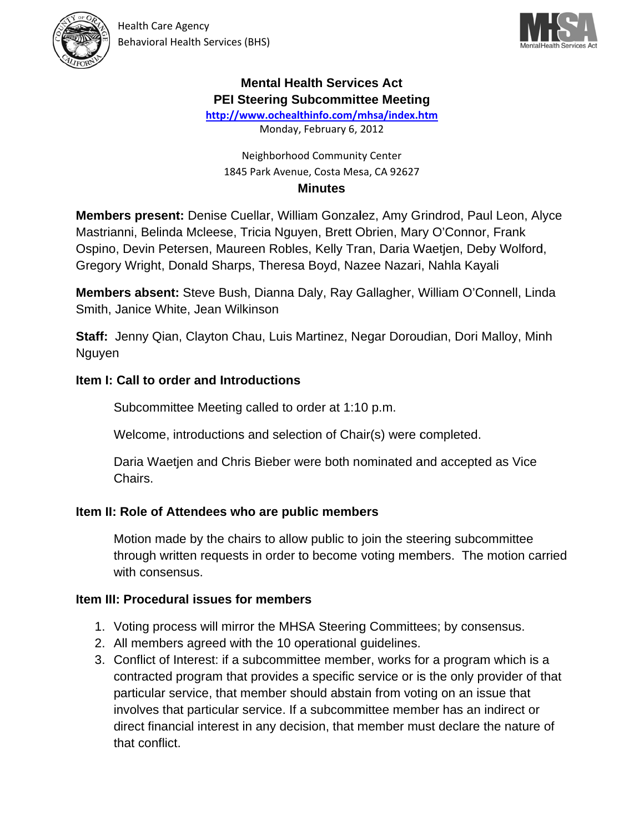



## **Mental Health Services Act PEI Steering Subcommittee Meeting**

http://www.ochealthinfo.com/mhsa/index.htm

Monday, February 6, 2012

#### Neighborhood Community Center 1845 Park Avenue, Costa Mesa, CA 92627 **Minutes**

Members present: Denise Cuellar, William Gonzalez, Amy Grindrod, Paul Leon, Alyce Mastrianni, Belinda Mcleese, Tricia Nguyen, Brett Obrien, Mary O'Connor, Frank Ospino, Devin Petersen, Maureen Robles, Kelly Tran, Daria Waetjen, Deby Wolford, Gregory Wright, Donald Sharps, Theresa Boyd, Nazee Nazari, Nahla Kayali

Members absent: Steve Bush, Dianna Daly, Ray Gallagher, William O'Connell, Linda Smith, Janice White, Jean Wilkinson

Staff: Jenny Qian, Clayton Chau, Luis Martinez, Negar Doroudian, Dori Malloy, Minh Nguyen

## Item I: Call to order and Introductions

Subcommittee Meeting called to order at 1:10 p.m.

Welcome, introductions and selection of Chair(s) were completed.

Daria Waetjen and Chris Bieber were both nominated and accepted as Vice Chairs.

### Item II: Role of Attendees who are public members

Motion made by the chairs to allow public to join the steering subcommittee through written requests in order to become voting members. The motion carried with consensus.

#### Item III: Procedural issues for members

- 1. Voting process will mirror the MHSA Steering Committees; by consensus.
- 2. All members agreed with the 10 operational quidelines.
- 3. Conflict of Interest: if a subcommittee member, works for a program which is a contracted program that provides a specific service or is the only provider of that particular service, that member should abstain from voting on an issue that involves that particular service. If a subcommittee member has an indirect or direct financial interest in any decision, that member must declare the nature of that conflict.